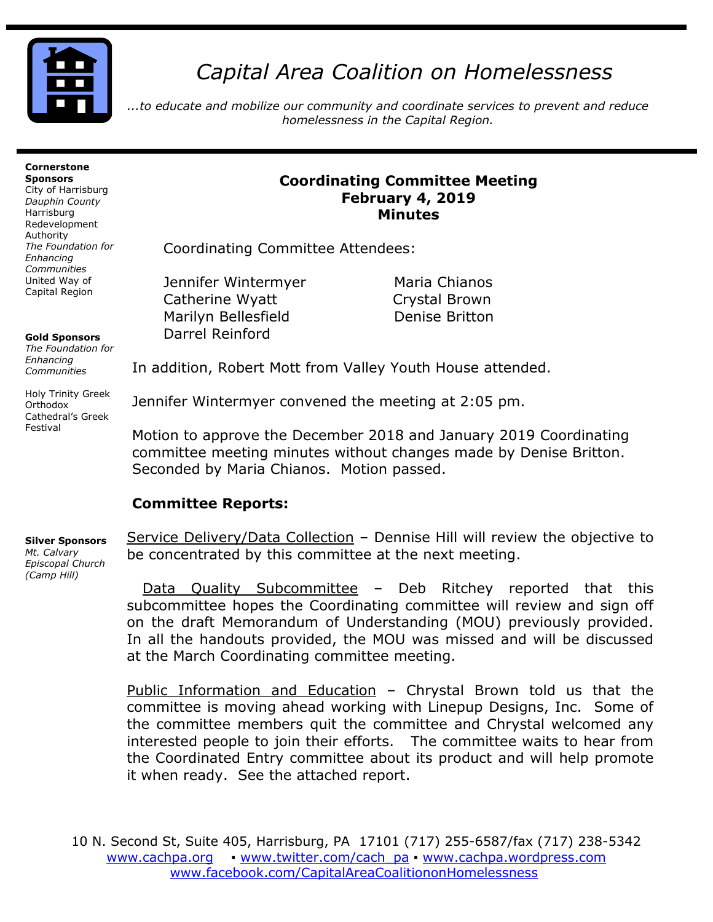

# *Capital Area Coalition on Homelessness*

*...to educate and mobilize our community and coordinate services to prevent and reduce homelessness in the Capital Region.*

#### **Cornerstone Sponsors**

City of Harrisburg *Dauphin County* Harrisburg Redevelopment Authority *The Foundation for Enhancing Communities* United Way of Capital Region

#### **Gold Sponsors**

*The Foundation for Enhancing Communities*

Holy Trinity Greek Orthodox Cathedral's Greek Festival

### **Coordinating Committee Meeting February 4, 2019 Minutes**

Coordinating Committee Attendees:

Jennifer Wintermyer Maria Chianos Catherine Wyatt Crystal Brown Marilyn Bellesfield **Denise Britton** Darrel Reinford

In addition, Robert Mott from Valley Youth House attended.

Jennifer Wintermyer convened the meeting at 2:05 pm.

Motion to approve the December 2018 and January 2019 Coordinating committee meeting minutes without changes made by Denise Britton. Seconded by Maria Chianos. Motion passed.

## **Committee Reports:**

**Silver Sponsors** 

*Mt. Calvary Episcopal Church (Camp Hill)*

Service Delivery/Data Collection - Dennise Hill will review the objective to be concentrated by this committee at the next meeting.

Data Quality Subcommittee – Deb Ritchey reported that this subcommittee hopes the Coordinating committee will review and sign off on the draft Memorandum of Understanding (MOU) previously provided. In all the handouts provided, the MOU was missed and will be discussed at the March Coordinating committee meeting.

Public Information and Education - Chrystal Brown told us that the committee is moving ahead working with Linepup Designs, Inc. Some of the committee members quit the committee and Chrystal welcomed any interested people to join their efforts. The committee waits to hear from the Coordinated Entry committee about its product and will help promote it when ready. See the attached report.

10 N. Second St, Suite 405, Harrisburg, PA 17101 (717) 255-6587/fax (717) 238-5342 [www.cachpa.org](http://www.cachpa.org/) • [www.twitter.com/cach\\_pa](http://www.twitter.com/cach_pa) • [www.cachpa.wordpress.com](http://www.cachpa.wordpress.com/) [www.facebook.com/CapitalAreaCoalitiononHomelessness](http://www.facebook.com/CapitalAreaCoalitiononHomelessness)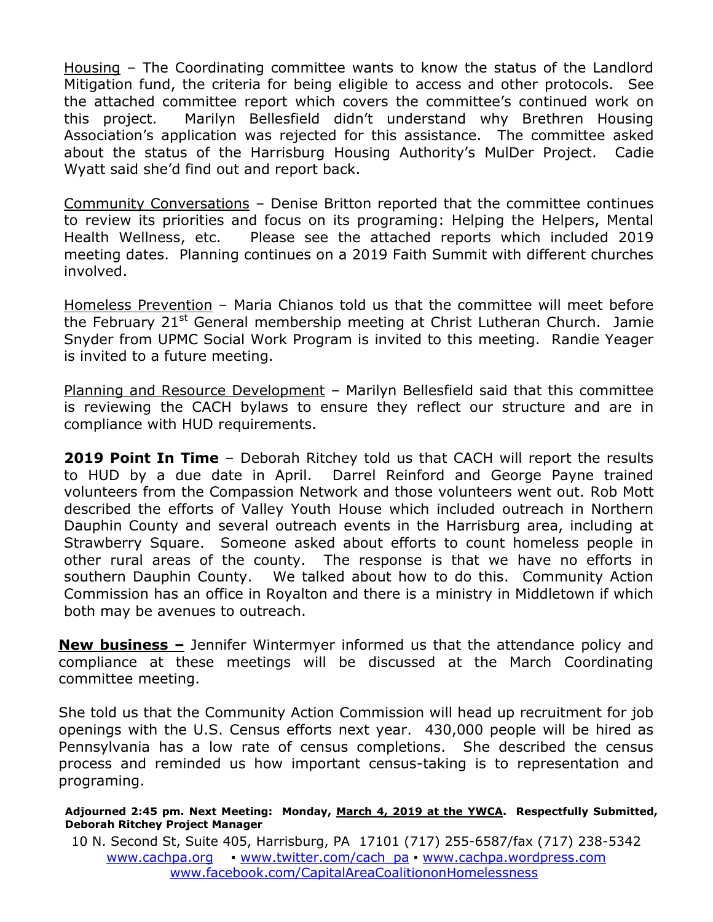Housing – The Coordinating committee wants to know the status of the Landlord Mitigation fund, the criteria for being eligible to access and other protocols. See the attached committee report which covers the committee's continued work on this project. Marilyn Bellesfield didn't understand why Brethren Housing Association's application was rejected for this assistance. The committee asked about the status of the Harrisburg Housing Authority's MulDer Project. Cadie Wyatt said she'd find out and report back.

Community Conversations – Denise Britton reported that the committee continues to review its priorities and focus on its programing: Helping the Helpers, Mental Health Wellness, etc. Please see the attached reports which included 2019 meeting dates. Planning continues on a 2019 Faith Summit with different churches involved.

Homeless Prevention – Maria Chianos told us that the committee will meet before the February 21<sup>st</sup> General membership meeting at Christ Lutheran Church. Jamie Snyder from UPMC Social Work Program is invited to this meeting. Randie Yeager is invited to a future meeting.

Planning and Resource Development – Marilyn Bellesfield said that this committee is reviewing the CACH bylaws to ensure they reflect our structure and are in compliance with HUD requirements.

**2019 Point In Time** – Deborah Ritchey told us that CACH will report the results to HUD by a due date in April. Darrel Reinford and George Payne trained volunteers from the Compassion Network and those volunteers went out. Rob Mott described the efforts of Valley Youth House which included outreach in Northern Dauphin County and several outreach events in the Harrisburg area, including at Strawberry Square. Someone asked about efforts to count homeless people in other rural areas of the county. The response is that we have no efforts in southern Dauphin County. We talked about how to do this. Community Action Commission has an office in Royalton and there is a ministry in Middletown if which both may be avenues to outreach.

**New business –** Jennifer Wintermyer informed us that the attendance policy and compliance at these meetings will be discussed at the March Coordinating committee meeting.

She told us that the Community Action Commission will head up recruitment for job openings with the U.S. Census efforts next year. 430,000 people will be hired as Pennsylvania has a low rate of census completions. She described the census process and reminded us how important census-taking is to representation and programing.

#### Adjourned 2:45 pm. Next Meeting: Monday, March 4, 2019 at the YWCA. Respectfully Submitted, **Deborah Ritchey Project Manager**

10 N. Second St, Suite 405, Harrisburg, PA 17101 (717) 255-6587/fax (717) 238-5342 [www.cachpa.org](http://www.cachpa.org/) • [www.twitter.com/cach\\_pa](http://www.twitter.com/cach_pa) • [www.cachpa.wordpress.com](http://www.cachpa.wordpress.com/) [www.facebook.com/CapitalAreaCoalitiononHomelessness](http://www.facebook.com/CapitalAreaCoalitiononHomelessness)